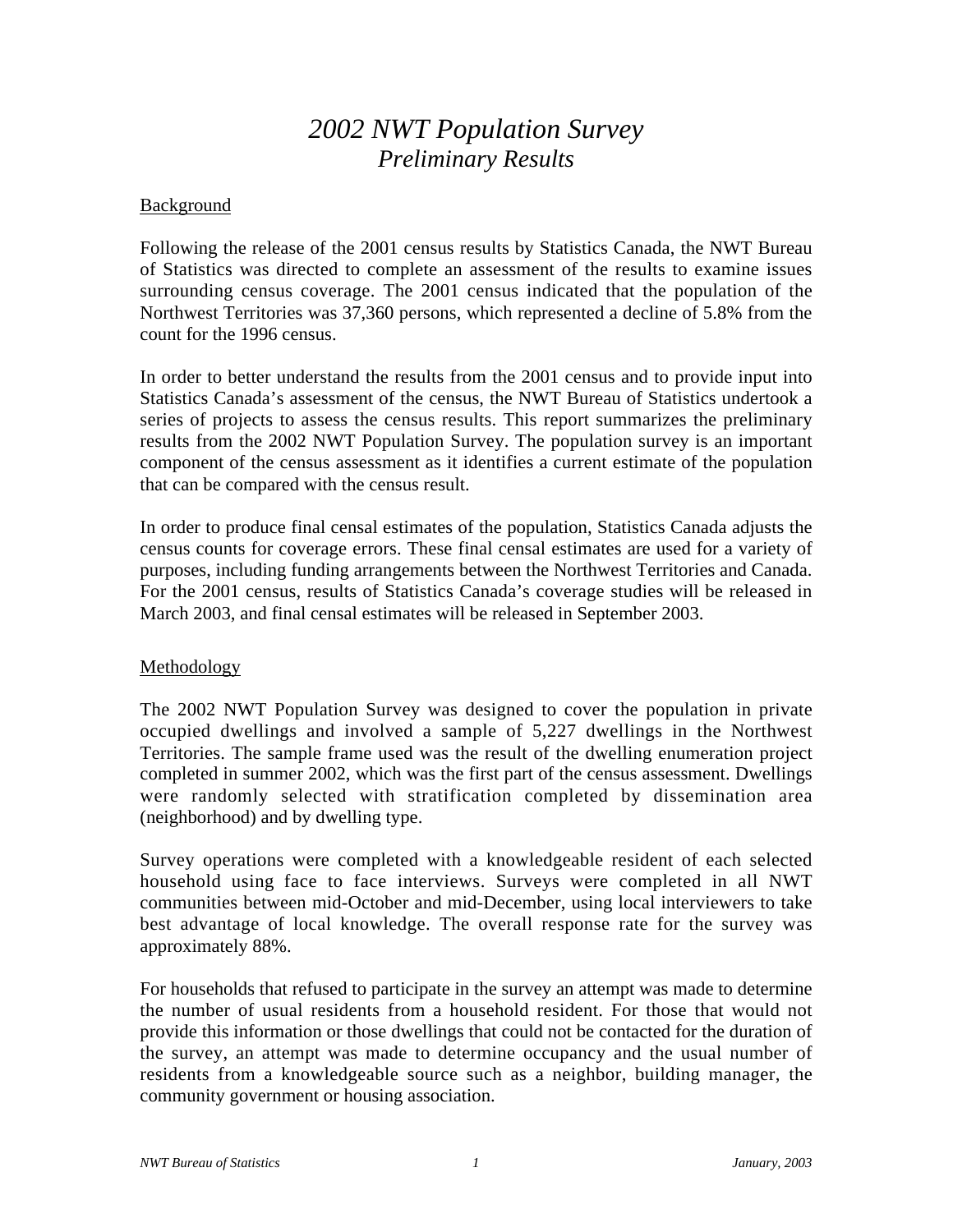# *2002 NWT Population Survey Preliminary Results*

## **Background**

Following the release of the 2001 census results by Statistics Canada, the NWT Bureau of Statistics was directed to complete an assessment of the results to examine issues surrounding census coverage. The 2001 census indicated that the population of the Northwest Territories was 37,360 persons, which represented a decline of 5.8% from the count for the 1996 census.

In order to better understand the results from the 2001 census and to provide input into Statistics Canada's assessment of the census, the NWT Bureau of Statistics undertook a series of projects to assess the census results. This report summarizes the preliminary results from the 2002 NWT Population Survey. The population survey is an important component of the census assessment as it identifies a current estimate of the population that can be compared with the census result.

In order to produce final censal estimates of the population, Statistics Canada adjusts the census counts for coverage errors. These final censal estimates are used for a variety of purposes, including funding arrangements between the Northwest Territories and Canada. For the 2001 census, results of Statistics Canada's coverage studies will be released in March 2003, and final censal estimates will be released in September 2003.

## **Methodology**

The 2002 NWT Population Survey was designed to cover the population in private occupied dwellings and involved a sample of 5,227 dwellings in the Northwest Territories. The sample frame used was the result of the dwelling enumeration project completed in summer 2002, which was the first part of the census assessment. Dwellings were randomly selected with stratification completed by dissemination area (neighborhood) and by dwelling type.

Survey operations were completed with a knowledgeable resident of each selected household using face to face interviews. Surveys were completed in all NWT communities between mid-October and mid-December, using local interviewers to take best advantage of local knowledge. The overall response rate for the survey was approximately 88%.

For households that refused to participate in the survey an attempt was made to determine the number of usual residents from a household resident. For those that would not provide this information or those dwellings that could not be contacted for the duration of the survey, an attempt was made to determine occupancy and the usual number of residents from a knowledgeable source such as a neighbor, building manager, the community government or housing association.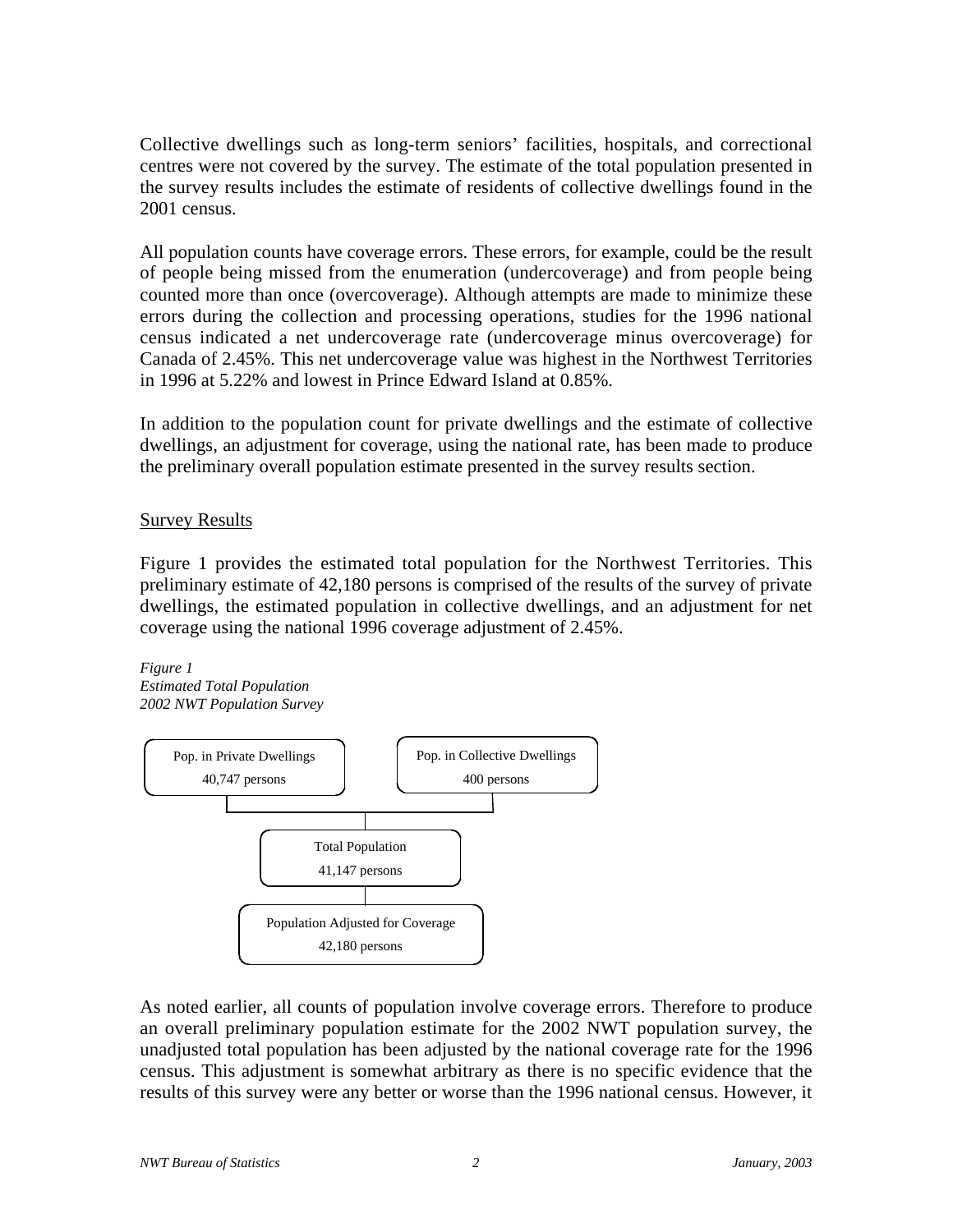Collective dwellings such as long-term seniors' facilities, hospitals, and correctional centres were not covered by the survey. The estimate of the total population presented in the survey results includes the estimate of residents of collective dwellings found in the 2001 census.

All population counts have coverage errors. These errors, for example, could be the result of people being missed from the enumeration (undercoverage) and from people being counted more than once (overcoverage). Although attempts are made to minimize these errors during the collection and processing operations, studies for the 1996 national census indicated a net undercoverage rate (undercoverage minus overcoverage) for Canada of 2.45%. This net undercoverage value was highest in the Northwest Territories in 1996 at 5.22% and lowest in Prince Edward Island at 0.85%.

In addition to the population count for private dwellings and the estimate of collective dwellings, an adjustment for coverage, using the national rate, has been made to produce the preliminary overall population estimate presented in the survey results section.

## Survey Results

Figure 1 provides the estimated total population for the Northwest Territories. This preliminary estimate of 42,180 persons is comprised of the results of the survey of private dwellings, the estimated population in collective dwellings, and an adjustment for net coverage using the national 1996 coverage adjustment of 2.45%.

*Figure 1 Estimated Total Population 2002 NWT Population Survey*



As noted earlier, all counts of population involve coverage errors. Therefore to produce an overall preliminary population estimate for the 2002 NWT population survey, the unadjusted total population has been adjusted by the national coverage rate for the 1996 census. This adjustment is somewhat arbitrary as there is no specific evidence that the results of this survey were any better or worse than the 1996 national census. However, it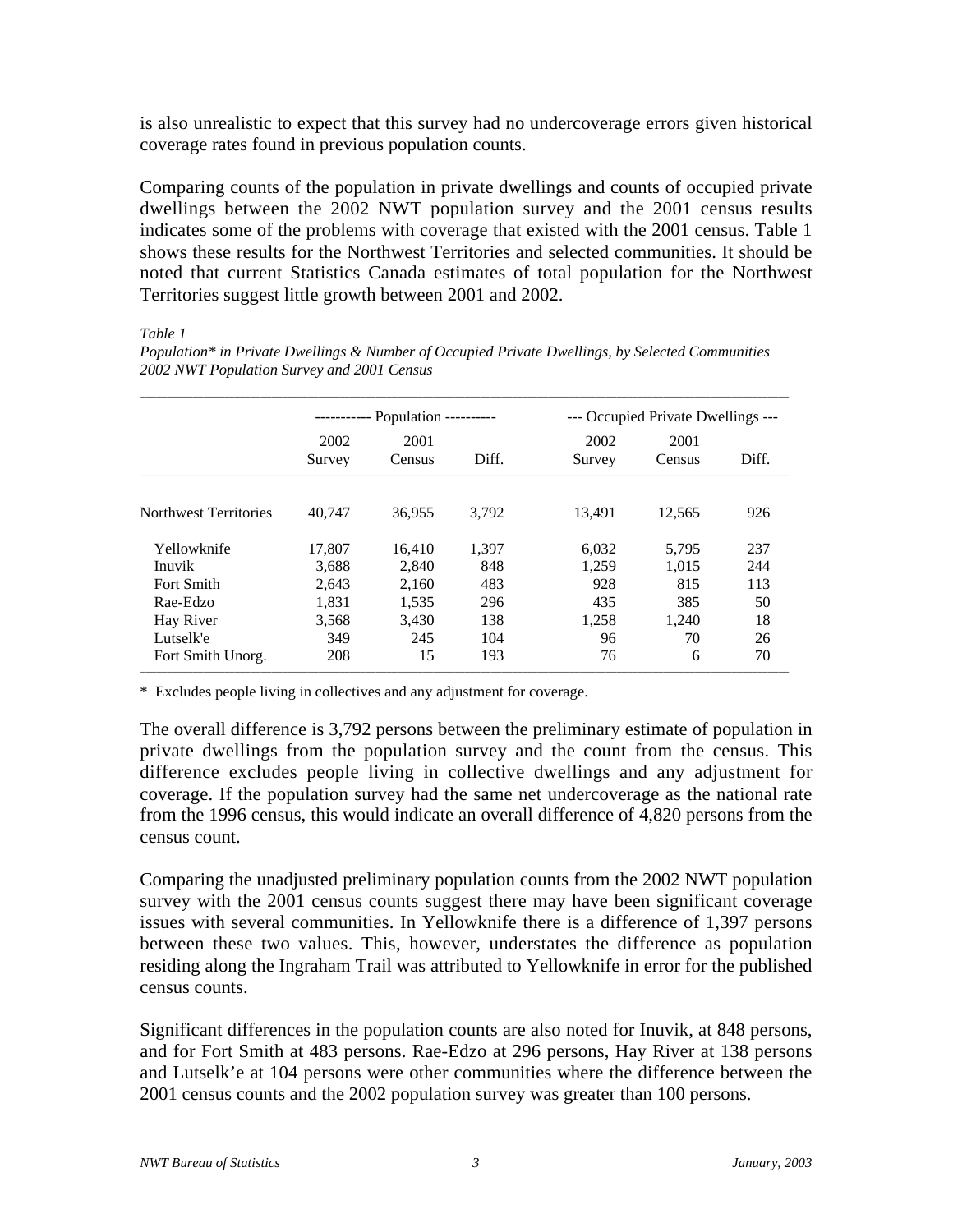is also unrealistic to expect that this survey had no undercoverage errors given historical coverage rates found in previous population counts.

Comparing counts of the population in private dwellings and counts of occupied private dwellings between the 2002 NWT population survey and the 2001 census results indicates some of the problems with coverage that existed with the 2001 census. Table 1 shows these results for the Northwest Territories and selected communities. It should be noted that current Statistics Canada estimates of total population for the Northwest Territories suggest little growth between 2001 and 2002.

#### *Table 1*

*Population\* in Private Dwellings & Number of Occupied Private Dwellings, by Selected Communities 2002 NWT Population Survey and 2001 Census*

|                        | Population ---------- |                 |              | --- Occupied Private Dwellings --- |                |            |
|------------------------|-----------------------|-----------------|--------------|------------------------------------|----------------|------------|
|                        | 2002<br>Survey        | 2001<br>Census  | Diff.        | 2002<br>Survey                     | 2001<br>Census | Diff.      |
| Northwest Territories  | 40.747                | 36,955          | 3.792        | 13.491                             | 12,565         | 926        |
| Yellowknife<br>Inuvik  | 17,807<br>3.688       | 16.410<br>2.840 | 1,397<br>848 | 6,032<br>1.259                     | 5,795<br>1.015 | 237<br>244 |
| Fort Smith<br>Rae-Edzo | 2,643<br>1,831        | 2.160<br>1,535  | 483<br>296   | 928<br>435                         | 815<br>385     | 113<br>50  |
| Hay River<br>Lutselk'e | 3,568<br>349          | 3,430<br>245    | 138<br>104   | 1,258<br>96                        | 1,240<br>70    | 18<br>26   |
| Fort Smith Unorg.      | 208                   | 15              | 193          | 76                                 | 6              | 70         |

\* Excludes people living in collectives and any adjustment for coverage.

The overall difference is 3,792 persons between the preliminary estimate of population in private dwellings from the population survey and the count from the census. This difference excludes people living in collective dwellings and any adjustment for coverage. If the population survey had the same net undercoverage as the national rate from the 1996 census, this would indicate an overall difference of 4,820 persons from the census count.

Comparing the unadjusted preliminary population counts from the 2002 NWT population survey with the 2001 census counts suggest there may have been significant coverage issues with several communities. In Yellowknife there is a difference of 1,397 persons between these two values. This, however, understates the difference as population residing along the Ingraham Trail was attributed to Yellowknife in error for the published census counts.

Significant differences in the population counts are also noted for Inuvik, at 848 persons, and for Fort Smith at 483 persons. Rae-Edzo at 296 persons, Hay River at 138 persons and Lutselk'e at 104 persons were other communities where the difference between the 2001 census counts and the 2002 population survey was greater than 100 persons.